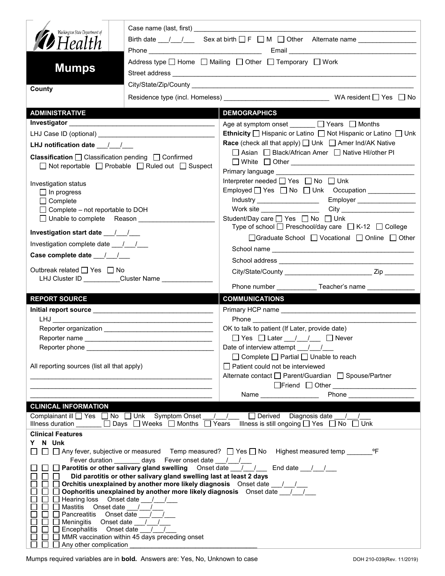| Washington State Department of<br>$\mathscr{D}$ Health<br><b>Mumps</b>                                                                                                                                                                                                                                                                                             | Birth date $\frac{1}{\sqrt{2}}$ Sex at birth $\Box$ F $\Box$ M $\Box$ Other Alternate name<br>Address type $\Box$ Home $\Box$ Mailing $\Box$ Other $\Box$ Temporary $\Box$ Work |                                                                                                                                                                                                                                               |  |  |  |
|--------------------------------------------------------------------------------------------------------------------------------------------------------------------------------------------------------------------------------------------------------------------------------------------------------------------------------------------------------------------|---------------------------------------------------------------------------------------------------------------------------------------------------------------------------------|-----------------------------------------------------------------------------------------------------------------------------------------------------------------------------------------------------------------------------------------------|--|--|--|
| County                                                                                                                                                                                                                                                                                                                                                             |                                                                                                                                                                                 |                                                                                                                                                                                                                                               |  |  |  |
|                                                                                                                                                                                                                                                                                                                                                                    |                                                                                                                                                                                 |                                                                                                                                                                                                                                               |  |  |  |
| <b>ADMINISTRATIVE</b>                                                                                                                                                                                                                                                                                                                                              |                                                                                                                                                                                 | <b>DEMOGRAPHICS</b>                                                                                                                                                                                                                           |  |  |  |
|                                                                                                                                                                                                                                                                                                                                                                    |                                                                                                                                                                                 | Age at symptom onset _______ □ Years □ Months                                                                                                                                                                                                 |  |  |  |
|                                                                                                                                                                                                                                                                                                                                                                    |                                                                                                                                                                                 | Ethnicity □ Hispanic or Latino □ Not Hispanic or Latino □ Unk                                                                                                                                                                                 |  |  |  |
| LHJ notification date $\frac{1}{\sqrt{2}}$                                                                                                                                                                                                                                                                                                                         |                                                                                                                                                                                 | <b>Race</b> (check all that apply) <u>□</u> Unk □ Amer Ind/AK Native                                                                                                                                                                          |  |  |  |
| <b>Classification</b> $\Box$ Classification pending $\Box$ Confirmed<br>$\Box$ Not reportable $\Box$ Probable $\Box$ Ruled out $\Box$ Suspect                                                                                                                                                                                                                      |                                                                                                                                                                                 | □ Asian □ Black/African Amer □ Native HI/other PI                                                                                                                                                                                             |  |  |  |
|                                                                                                                                                                                                                                                                                                                                                                    |                                                                                                                                                                                 | Primary language ____________<br>Interpreter needed $\Box$ Yes $\Box$ No $\Box$ Unk                                                                                                                                                           |  |  |  |
| Investigation status<br>$\Box$ In progress                                                                                                                                                                                                                                                                                                                         |                                                                                                                                                                                 | Employed   Yes   No   Unk Occupation ____________                                                                                                                                                                                             |  |  |  |
| $\Box$ Complete                                                                                                                                                                                                                                                                                                                                                    |                                                                                                                                                                                 | Employer _________________<br>Industry _____________________                                                                                                                                                                                  |  |  |  |
| $\Box$ Complete – not reportable to DOH                                                                                                                                                                                                                                                                                                                            |                                                                                                                                                                                 | Work site ___________________                                                                                                                                                                                                                 |  |  |  |
| □ Unable to complete Reason _________________<br>Investigation start date 11                                                                                                                                                                                                                                                                                       |                                                                                                                                                                                 | Student/Day care <sup>1</sup> Yes <sup>1</sup> No <sup>1</sup> Unk<br>Type of school $\Box$ Preschool/day care $\Box$ K-12 $\Box$ College                                                                                                     |  |  |  |
| Investigation complete date ___/___/___                                                                                                                                                                                                                                                                                                                            |                                                                                                                                                                                 | □Graduate School □ Vocational □ Online □ Other                                                                                                                                                                                                |  |  |  |
|                                                                                                                                                                                                                                                                                                                                                                    |                                                                                                                                                                                 |                                                                                                                                                                                                                                               |  |  |  |
|                                                                                                                                                                                                                                                                                                                                                                    |                                                                                                                                                                                 |                                                                                                                                                                                                                                               |  |  |  |
| Outbreak related □ Yes □ No<br>LHJ Cluster ID _________Cluster Name ______________                                                                                                                                                                                                                                                                                 |                                                                                                                                                                                 | Phone number ______________Teacher's name _______________                                                                                                                                                                                     |  |  |  |
| <b>REPORT SOURCE</b>                                                                                                                                                                                                                                                                                                                                               |                                                                                                                                                                                 | <b>COMMUNICATIONS</b>                                                                                                                                                                                                                         |  |  |  |
|                                                                                                                                                                                                                                                                                                                                                                    |                                                                                                                                                                                 |                                                                                                                                                                                                                                               |  |  |  |
| LHJ <b>Martin</b>                                                                                                                                                                                                                                                                                                                                                  |                                                                                                                                                                                 | <b>Phone Contract Phone</b>                                                                                                                                                                                                                   |  |  |  |
|                                                                                                                                                                                                                                                                                                                                                                    |                                                                                                                                                                                 | OK to talk to patient (If Later, provide date)                                                                                                                                                                                                |  |  |  |
|                                                                                                                                                                                                                                                                                                                                                                    |                                                                                                                                                                                 | $\Box$ Yes $\Box$ Later $\frac{1}{\Box}$ $\Box$ Never                                                                                                                                                                                         |  |  |  |
| Reporter phone                                                                                                                                                                                                                                                                                                                                                     | <u> 1980 - John Stein, Amerikaansk kanton (</u>                                                                                                                                 | Date of interview attempt / /                                                                                                                                                                                                                 |  |  |  |
|                                                                                                                                                                                                                                                                                                                                                                    |                                                                                                                                                                                 | $\Box$ Complete $\Box$ Partial $\Box$ Unable to reach                                                                                                                                                                                         |  |  |  |
| All reporting sources (list all that apply)                                                                                                                                                                                                                                                                                                                        |                                                                                                                                                                                 | $\Box$ Patient could not be interviewed                                                                                                                                                                                                       |  |  |  |
|                                                                                                                                                                                                                                                                                                                                                                    | <u> 1980 - Johann John Stone, mars eta industrial eta industrial eta industrial eta industrial eta industrial et</u>                                                            | Alternate contact □ Parent/Guardian □ Spouse/Partner                                                                                                                                                                                          |  |  |  |
|                                                                                                                                                                                                                                                                                                                                                                    |                                                                                                                                                                                 | Phone __________________<br>Name ___________________                                                                                                                                                                                          |  |  |  |
| <b>CLINICAL INFORMATION</b>                                                                                                                                                                                                                                                                                                                                        |                                                                                                                                                                                 |                                                                                                                                                                                                                                               |  |  |  |
|                                                                                                                                                                                                                                                                                                                                                                    |                                                                                                                                                                                 | Complainant ill $\Box$ Yes $\Box$ No $\Box$ Unk Symptom Onset __/__/__ $\Box$ Derived Diagnosis date __/__/_<br>Illness duration $\Box$ Days $\Box$ Weeks $\Box$ Months $\Box$ Years Illness is still ongoing $\Box$ Yes $\Box$ No $\Box$ Unk |  |  |  |
| <b>Clinical Features</b>                                                                                                                                                                                                                                                                                                                                           |                                                                                                                                                                                 |                                                                                                                                                                                                                                               |  |  |  |
| N Unk<br>Y.                                                                                                                                                                                                                                                                                                                                                        |                                                                                                                                                                                 |                                                                                                                                                                                                                                               |  |  |  |
|                                                                                                                                                                                                                                                                                                                                                                    |                                                                                                                                                                                 | □ □ Any fever, subjective or measured Temp measured? □ Yes □ No Highest measured temp ________ °F                                                                                                                                             |  |  |  |
|                                                                                                                                                                                                                                                                                                                                                                    |                                                                                                                                                                                 | Fever duration _______ days Fever onset date __/__/___<br>□ Parotitis or other salivary gland swelling Onset date __/__/____ End date __/__/___                                                                                               |  |  |  |
| Did parotitis or other salivary gland swelling last at least 2 days<br>$\Box$<br>Orchitis unexplained by another more likely diagnosis Onset date _______________<br>Oophoritis unexplained by another more likely diagnosis Onset date _____________<br>Hearing loss Onset date 11<br>Mastitis Onset date /<br>$\Box$ Pancreatitis Onset date $\frac{\Box}{\Box}$ |                                                                                                                                                                                 |                                                                                                                                                                                                                                               |  |  |  |
| $\Box$ Encephalitis Onset date / /                                                                                                                                                                                                                                                                                                                                 |                                                                                                                                                                                 |                                                                                                                                                                                                                                               |  |  |  |
| Any other complication                                                                                                                                                                                                                                                                                                                                             | MMR vaccination within 45 days preceding onset                                                                                                                                  |                                                                                                                                                                                                                                               |  |  |  |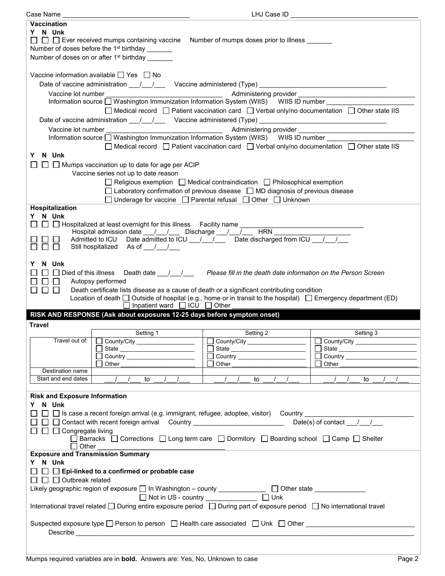| Case Name __                                                                                                        |                                                                           | LHJ Case ID                                                                                                              |                                         |  |  |
|---------------------------------------------------------------------------------------------------------------------|---------------------------------------------------------------------------|--------------------------------------------------------------------------------------------------------------------------|-----------------------------------------|--|--|
| <b>Vaccination</b>                                                                                                  |                                                                           |                                                                                                                          |                                         |  |  |
| Y N Unk                                                                                                             |                                                                           |                                                                                                                          |                                         |  |  |
|                                                                                                                     |                                                                           | $\Box$ $\Box$ Ever received mumps containing vaccine Number of mumps doses prior to illness $\Box$                       |                                         |  |  |
|                                                                                                                     | Number of doses before the 1 <sup>st</sup> birthday _______               |                                                                                                                          |                                         |  |  |
|                                                                                                                     | Number of doses on or after 1 <sup>st</sup> birthday                      |                                                                                                                          |                                         |  |  |
|                                                                                                                     |                                                                           |                                                                                                                          |                                         |  |  |
|                                                                                                                     |                                                                           |                                                                                                                          |                                         |  |  |
|                                                                                                                     | Vaccine information available □ Yes □ No                                  |                                                                                                                          |                                         |  |  |
|                                                                                                                     |                                                                           | Date of vaccine administration 11/2000 Vaccine administered (Type) 2008. [2010]                                          |                                         |  |  |
|                                                                                                                     |                                                                           |                                                                                                                          |                                         |  |  |
|                                                                                                                     |                                                                           | Information source Nashington Immunization Information System (WIIS) WIIS ID number                                      |                                         |  |  |
|                                                                                                                     |                                                                           | $\Box$ Medical record $\Box$ Patient vaccination card $\Box$ Verbal only/no documentation $\Box$ Other state IIS         |                                         |  |  |
|                                                                                                                     |                                                                           | Date of vaccine administration 11/2000 Vaccine administered (Type) 2008. [2010]                                          |                                         |  |  |
| Vaccine lot number                                                                                                  |                                                                           |                                                                                                                          |                                         |  |  |
|                                                                                                                     |                                                                           | Information source U Washington Immunization Information System (WIIS) WIIS ID number __________                         |                                         |  |  |
|                                                                                                                     |                                                                           | $\Box$ Medical record $\Box$ Patient vaccination card $\Box$ Verbal only/no documentation $\Box$ Other state IIS         |                                         |  |  |
| N Unk                                                                                                               |                                                                           |                                                                                                                          |                                         |  |  |
| Y.                                                                                                                  |                                                                           |                                                                                                                          |                                         |  |  |
|                                                                                                                     | $\Box$ Mumps vaccination up to date for age per ACIP                      |                                                                                                                          |                                         |  |  |
|                                                                                                                     | Vaccine series not up to date reason                                      |                                                                                                                          |                                         |  |  |
|                                                                                                                     |                                                                           | $\Box$ Religious exemption $\Box$ Medical contraindication $\Box$ Philosophical exemption                                |                                         |  |  |
|                                                                                                                     |                                                                           | $\Box$ Laboratory confirmation of previous disease $\Box$ MD diagnosis of previous disease                               |                                         |  |  |
|                                                                                                                     |                                                                           | □ Underage for vaccine □ Parental refusal □ Other □ Unknown                                                              |                                         |  |  |
| Hospitalization                                                                                                     |                                                                           |                                                                                                                          |                                         |  |  |
| Y N Unk                                                                                                             |                                                                           |                                                                                                                          |                                         |  |  |
|                                                                                                                     | □ □ Hospitalized at least overnight for this illness Facility name ____   |                                                                                                                          |                                         |  |  |
|                                                                                                                     | Hospital admission date ___/___/____ Discharge ___/___/___                | <b>HRN</b>                                                                                                               |                                         |  |  |
|                                                                                                                     |                                                                           | Admitted to ICU Date admitted to ICU __/ __/ __ Date discharged from ICU __/ __/                                         |                                         |  |  |
|                                                                                                                     | Still hospitalized As of 1.                                               |                                                                                                                          |                                         |  |  |
|                                                                                                                     |                                                                           |                                                                                                                          |                                         |  |  |
| N Unk                                                                                                               |                                                                           |                                                                                                                          |                                         |  |  |
|                                                                                                                     |                                                                           |                                                                                                                          |                                         |  |  |
| □ Died of this illness Death date <u>________</u><br>Please fill in the death date information on the Person Screen |                                                                           |                                                                                                                          |                                         |  |  |
|                                                                                                                     |                                                                           |                                                                                                                          |                                         |  |  |
| $\Box$                                                                                                              | Autopsy performed                                                         |                                                                                                                          |                                         |  |  |
| $\Box$<br>$\perp$                                                                                                   |                                                                           | Death certificate lists disease as a cause of death or a significant contributing condition                              |                                         |  |  |
|                                                                                                                     |                                                                           | Location of death $\Box$ Outside of hospital (e.g., home or in transit to the hospital) $\Box$ Emergency department (ED) |                                         |  |  |
|                                                                                                                     | $\Box$ Inpatient ward $\Box$ ICU $\Box$ Other                             |                                                                                                                          |                                         |  |  |
|                                                                                                                     | RISK AND RESPONSE (Ask about exposures 12-25 days before symptom onset)   |                                                                                                                          |                                         |  |  |
| <b>Travel</b>                                                                                                       |                                                                           |                                                                                                                          |                                         |  |  |
|                                                                                                                     | Setting 1                                                                 | Setting 2                                                                                                                | Setting 3                               |  |  |
| Travel out of:                                                                                                      | $\Box$ County/City $\Box$                                                 |                                                                                                                          | County/City ______________________      |  |  |
|                                                                                                                     |                                                                           |                                                                                                                          | $\mathbb{R}^n$<br>State                 |  |  |
|                                                                                                                     | Country _______________________                                           | State<br>□ Country <u>____________________</u>                                                                           | □ Country <u>______________________</u> |  |  |
|                                                                                                                     | Other                                                                     | l Other                                                                                                                  | Other                                   |  |  |
| Destination name                                                                                                    |                                                                           |                                                                                                                          |                                         |  |  |
| Start and end dates                                                                                                 | to                                                                        | $\sqrt{ }$<br>to                                                                                                         | to                                      |  |  |
|                                                                                                                     |                                                                           |                                                                                                                          |                                         |  |  |
| <b>Risk and Exposure Information</b>                                                                                |                                                                           |                                                                                                                          |                                         |  |  |
| N Unk<br>Y.                                                                                                         |                                                                           |                                                                                                                          |                                         |  |  |
|                                                                                                                     |                                                                           | $\Box~\Box$ Is case a recent foreign arrival (e.g. immigrant, refugee, adoptee, visitor)  Country ___________            |                                         |  |  |
|                                                                                                                     |                                                                           |                                                                                                                          |                                         |  |  |
|                                                                                                                     | □ □ Contact with recent foreign arrival Country _________________________ |                                                                                                                          | Date(s) of contact $\frac{1}{\sqrt{2}}$ |  |  |
| $\Box$ $\Box$ Congregate living                                                                                     |                                                                           |                                                                                                                          |                                         |  |  |
| Other                                                                                                               |                                                                           | Barracks   Corrections   Long term care   Dormitory   Boarding school   Camp   Shelter                                   |                                         |  |  |
|                                                                                                                     |                                                                           |                                                                                                                          |                                         |  |  |
| <b>Exposure and Transmission Summary</b>                                                                            |                                                                           |                                                                                                                          |                                         |  |  |
| Y N Unk                                                                                                             |                                                                           |                                                                                                                          |                                         |  |  |
|                                                                                                                     | $\Box$ Epi-linked to a confirmed or probable case                         |                                                                                                                          |                                         |  |  |
| $\Box$ $\Box$ Outbreak related                                                                                      |                                                                           |                                                                                                                          |                                         |  |  |
|                                                                                                                     |                                                                           | Likely geographic region of exposure □ In Washington - county _____________ □ Other state ______________                 |                                         |  |  |
|                                                                                                                     | □ Not in US - country _____________                                       | $\Box$ Unk                                                                                                               |                                         |  |  |
|                                                                                                                     |                                                                           | International travel related □ During entire exposure period □ During part of exposure period □ No international travel  |                                         |  |  |
|                                                                                                                     |                                                                           |                                                                                                                          |                                         |  |  |
|                                                                                                                     |                                                                           | Suspected exposure type □ Person to person □ Health care associated □ Unk □ Other ■ Network and Dubber All Design        |                                         |  |  |
|                                                                                                                     |                                                                           |                                                                                                                          |                                         |  |  |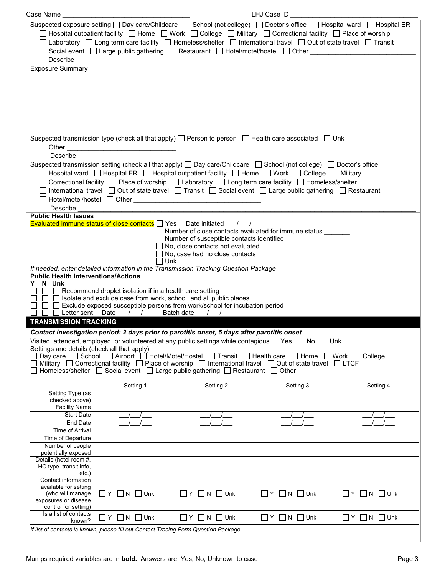| Case Name                                                                                                                                                                                                                                                                                                                                                                                                                                                                                                                                                            |                                                                                                                                                                                                                     |                                                                                              | LHJ Case ID                                                  |                                |  |  |
|----------------------------------------------------------------------------------------------------------------------------------------------------------------------------------------------------------------------------------------------------------------------------------------------------------------------------------------------------------------------------------------------------------------------------------------------------------------------------------------------------------------------------------------------------------------------|---------------------------------------------------------------------------------------------------------------------------------------------------------------------------------------------------------------------|----------------------------------------------------------------------------------------------|--------------------------------------------------------------|--------------------------------|--|--|
| Suspected exposure setting $\Box$ Day care/Childcare $\Box$ School (not college) $\Box$ Doctor's office $\Box$ Hospital ward $\Box$ Hospital ER<br>$\Box$ Hospital outpatient facility $\Box$ Home $\Box$ Work $\Box$ College $\Box$ Military $\Box$ Correctional facility $\Box$ Place of worship<br>□ Laboratory □ Long term care facility □ Homeless/shelter □ International travel □ Out of state travel □ Transit<br>□ Social event □ Large public gathering □ Restaurant □ Hotel/motel/hostel □ Other _____________________________<br><b>Exposure Summary</b> |                                                                                                                                                                                                                     |                                                                                              |                                                              |                                |  |  |
|                                                                                                                                                                                                                                                                                                                                                                                                                                                                                                                                                                      |                                                                                                                                                                                                                     |                                                                                              |                                                              |                                |  |  |
|                                                                                                                                                                                                                                                                                                                                                                                                                                                                                                                                                                      | Suspected transmission type (check all that apply) $\Box$ Person to person $\Box$ Health care associated $\Box$ Unk                                                                                                 |                                                                                              |                                                              |                                |  |  |
| <b>Describe</b>                                                                                                                                                                                                                                                                                                                                                                                                                                                                                                                                                      | Suspected transmission setting (check all that apply) $\Box$ Day care/Childcare $\Box$ School (not college) $\Box$ Doctor's office                                                                                  |                                                                                              |                                                              |                                |  |  |
|                                                                                                                                                                                                                                                                                                                                                                                                                                                                                                                                                                      | $\Box$ Hospital ward $\Box$ Hospital ER $\Box$ Hospital outpatient facility $\Box$ Home $\Box$ Work $\Box$ College $\Box$ Military                                                                                  |                                                                                              |                                                              |                                |  |  |
|                                                                                                                                                                                                                                                                                                                                                                                                                                                                                                                                                                      | □ Correctional facility □ Place of worship □ Laboratory □ Long term care facility □ Homeless/shelter<br>□ International travel □ Out of state travel □ Transit □ Social event □ Large public gathering □ Restaurant |                                                                                              |                                                              |                                |  |  |
|                                                                                                                                                                                                                                                                                                                                                                                                                                                                                                                                                                      |                                                                                                                                                                                                                     |                                                                                              |                                                              |                                |  |  |
| Describe<br><b>Public Health Issues</b>                                                                                                                                                                                                                                                                                                                                                                                                                                                                                                                              |                                                                                                                                                                                                                     |                                                                                              |                                                              |                                |  |  |
|                                                                                                                                                                                                                                                                                                                                                                                                                                                                                                                                                                      | Evaluated immune status of close contacts $\Box$ Yes Date initiated $\Box$                                                                                                                                          |                                                                                              | Number of close contacts evaluated for immune status _______ |                                |  |  |
|                                                                                                                                                                                                                                                                                                                                                                                                                                                                                                                                                                      |                                                                                                                                                                                                                     | Number of susceptible contacts identified _______<br>$\Box$ No, close contacts not evaluated |                                                              |                                |  |  |
|                                                                                                                                                                                                                                                                                                                                                                                                                                                                                                                                                                      |                                                                                                                                                                                                                     | No, case had no close contacts                                                               |                                                              |                                |  |  |
|                                                                                                                                                                                                                                                                                                                                                                                                                                                                                                                                                                      | $\Box$ Unk<br>If needed, enter detailed information in the Transmission Tracking Question Package                                                                                                                   |                                                                                              |                                                              |                                |  |  |
| <b>Public Health Interventions/Actions</b>                                                                                                                                                                                                                                                                                                                                                                                                                                                                                                                           |                                                                                                                                                                                                                     |                                                                                              |                                                              |                                |  |  |
| N Unk<br>Y.<br>$\Box$ Recommend droplet isolation if in a health care setting                                                                                                                                                                                                                                                                                                                                                                                                                                                                                        |                                                                                                                                                                                                                     |                                                                                              |                                                              |                                |  |  |
| $\perp$                                                                                                                                                                                                                                                                                                                                                                                                                                                                                                                                                              | $\Box$ Isolate and exclude case from work, school, and all public places<br>Exclude exposed susceptible persons from work/school for incubation period                                                              |                                                                                              |                                                              |                                |  |  |
| <b>TRANSMISSION TRACKING</b>                                                                                                                                                                                                                                                                                                                                                                                                                                                                                                                                         | □ Letter sent Date / / Batch date / /                                                                                                                                                                               |                                                                                              |                                                              |                                |  |  |
|                                                                                                                                                                                                                                                                                                                                                                                                                                                                                                                                                                      | Contact investigation period: 2 days prior to parotitis onset, 5 days after parotitis onset                                                                                                                         |                                                                                              |                                                              |                                |  |  |
|                                                                                                                                                                                                                                                                                                                                                                                                                                                                                                                                                                      | Visited, attended, employed, or volunteered at any public settings while contagious $\square$ Yes $\square$ No $\square$ Unk                                                                                        |                                                                                              |                                                              |                                |  |  |
| Settings and details (check all that apply)<br>Day care  □ School  □ Airport  □ Hotel/Motel/Hostel  □ Transit  □ Health care □ Home □ Work □ College                                                                                                                                                                                                                                                                                                                                                                                                                 |                                                                                                                                                                                                                     |                                                                                              |                                                              |                                |  |  |
|                                                                                                                                                                                                                                                                                                                                                                                                                                                                                                                                                                      | Military □ Correctional facility □ Place of worship □ International travel □ Out of state travel □ LTCF<br>Homeless/shelter $\Box$ Social event $\Box$ Large public gathering $\Box$ Restaurant $\Box$ Other        |                                                                                              |                                                              |                                |  |  |
|                                                                                                                                                                                                                                                                                                                                                                                                                                                                                                                                                                      | Setting 1                                                                                                                                                                                                           | Setting 2                                                                                    | Setting 3                                                    | Setting 4                      |  |  |
| Setting Type (as                                                                                                                                                                                                                                                                                                                                                                                                                                                                                                                                                     |                                                                                                                                                                                                                     |                                                                                              |                                                              |                                |  |  |
| checked above)<br><b>Facility Name</b>                                                                                                                                                                                                                                                                                                                                                                                                                                                                                                                               |                                                                                                                                                                                                                     |                                                                                              |                                                              |                                |  |  |
| <b>Start Date</b>                                                                                                                                                                                                                                                                                                                                                                                                                                                                                                                                                    |                                                                                                                                                                                                                     |                                                                                              |                                                              |                                |  |  |
| End Date<br>Time of Arrival                                                                                                                                                                                                                                                                                                                                                                                                                                                                                                                                          |                                                                                                                                                                                                                     |                                                                                              |                                                              |                                |  |  |
| Time of Departure                                                                                                                                                                                                                                                                                                                                                                                                                                                                                                                                                    |                                                                                                                                                                                                                     |                                                                                              |                                                              |                                |  |  |
| Number of people                                                                                                                                                                                                                                                                                                                                                                                                                                                                                                                                                     |                                                                                                                                                                                                                     |                                                                                              |                                                              |                                |  |  |
| potentially exposed<br>Details (hotel room #,                                                                                                                                                                                                                                                                                                                                                                                                                                                                                                                        |                                                                                                                                                                                                                     |                                                                                              |                                                              |                                |  |  |
| HC type, transit info,<br>$etc.$ )                                                                                                                                                                                                                                                                                                                                                                                                                                                                                                                                   |                                                                                                                                                                                                                     |                                                                                              |                                                              |                                |  |  |
| Contact information                                                                                                                                                                                                                                                                                                                                                                                                                                                                                                                                                  |                                                                                                                                                                                                                     |                                                                                              |                                                              |                                |  |  |
| available for setting<br>(who will manage                                                                                                                                                                                                                                                                                                                                                                                                                                                                                                                            | $\Box$ Y $\Box$ N $\Box$ Unk                                                                                                                                                                                        | $\Box$ $Y$ $\Box$ $N$ $\Box$ Unk                                                             | $\Box$ Y $\Box$ N $\Box$ Unk                                 | $\Box$ Y $\Box$ N $\Box$ Unk   |  |  |
| exposures or disease<br>control for setting)                                                                                                                                                                                                                                                                                                                                                                                                                                                                                                                         |                                                                                                                                                                                                                     |                                                                                              |                                                              |                                |  |  |
| Is a list of contacts                                                                                                                                                                                                                                                                                                                                                                                                                                                                                                                                                | $\Box$ Y $\Box$ N $\Box$ Unk                                                                                                                                                                                        | $\Box$ $Y$ $\Box$ N $\Box$ Unk                                                               | $\Box$ $Y$ $\Box$ N $\Box$ Unk                               | $\Box$ $Y$ $\Box$ N $\Box$ Unk |  |  |
| known?                                                                                                                                                                                                                                                                                                                                                                                                                                                                                                                                                               | If list of contacts is known, please fill out Contact Tracing Form Question Package                                                                                                                                 |                                                                                              |                                                              |                                |  |  |